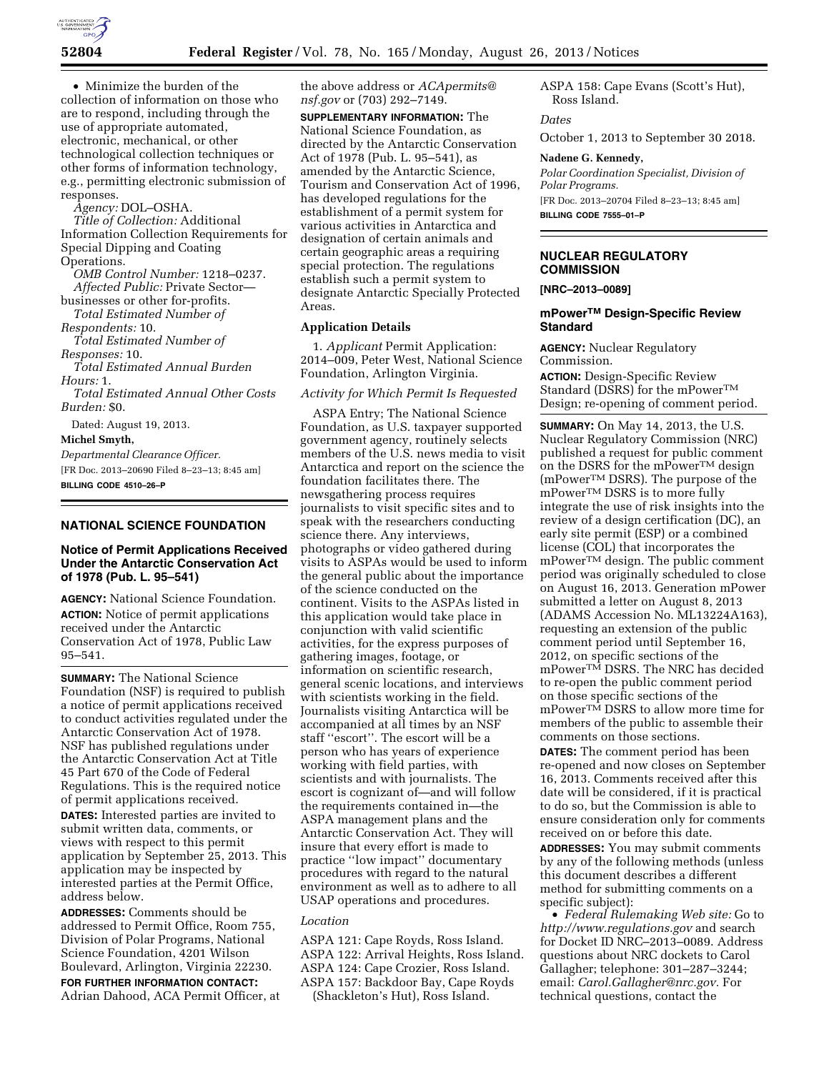

• Minimize the burden of the collection of information on those who are to respond, including through the use of appropriate automated, electronic, mechanical, or other technological collection techniques or other forms of information technology, e.g., permitting electronic submission of responses.

*Agency:* DOL–OSHA.

*Title of Collection:* Additional Information Collection Requirements for Special Dipping and Coating Operations.

*OMB Control Number:* 1218–0237. *Affected Public:* Private Sector—

businesses or other for-profits. *Total Estimated Number of* 

*Respondents:* 10.

*Total Estimated Number of Responses:* 10.

*Total Estimated Annual Burden Hours:* 1.

*Total Estimated Annual Other Costs Burden:* \$0.

Dated: August 19, 2013.

**Michel Smyth,** 

*Departmental Clearance Officer.*  [FR Doc. 2013–20690 Filed 8–23–13; 8:45 am] **BILLING CODE 4510–26–P** 

# **NATIONAL SCIENCE FOUNDATION**

# **Notice of Permit Applications Received Under the Antarctic Conservation Act of 1978 (Pub. L. 95–541)**

**AGENCY:** National Science Foundation. **ACTION:** Notice of permit applications received under the Antarctic Conservation Act of 1978, Public Law 95–541.

**SUMMARY:** The National Science Foundation (NSF) is required to publish a notice of permit applications received to conduct activities regulated under the Antarctic Conservation Act of 1978. NSF has published regulations under the Antarctic Conservation Act at Title 45 Part 670 of the Code of Federal Regulations. This is the required notice of permit applications received.

**DATES:** Interested parties are invited to submit written data, comments, or views with respect to this permit application by September 25, 2013. This application may be inspected by interested parties at the Permit Office, address below.

**ADDRESSES:** Comments should be addressed to Permit Office, Room 755, Division of Polar Programs, National Science Foundation, 4201 Wilson Boulevard, Arlington, Virginia 22230.

**FOR FURTHER INFORMATION CONTACT:**  Adrian Dahood, ACA Permit Officer, at the above address or *[ACApermits@](mailto:ACApermits@nsf.gov) [nsf.gov](mailto:ACApermits@nsf.gov)* or (703) 292–7149.

**SUPPLEMENTARY INFORMATION:** The National Science Foundation, as directed by the Antarctic Conservation Act of 1978 (Pub. L. 95–541), as amended by the Antarctic Science, Tourism and Conservation Act of 1996, has developed regulations for the establishment of a permit system for various activities in Antarctica and designation of certain animals and certain geographic areas a requiring special protection. The regulations establish such a permit system to designate Antarctic Specially Protected Areas.

### **Application Details**

1. *Applicant* Permit Application: 2014–009, Peter West, National Science Foundation, Arlington Virginia.

# *Activity for Which Permit Is Requested*

ASPA Entry; The National Science Foundation, as U.S. taxpayer supported government agency, routinely selects members of the U.S. news media to visit Antarctica and report on the science the foundation facilitates there. The newsgathering process requires journalists to visit specific sites and to speak with the researchers conducting science there. Any interviews, photographs or video gathered during visits to ASPAs would be used to inform the general public about the importance of the science conducted on the continent. Visits to the ASPAs listed in this application would take place in conjunction with valid scientific activities, for the express purposes of gathering images, footage, or information on scientific research, general scenic locations, and interviews with scientists working in the field. Journalists visiting Antarctica will be accompanied at all times by an NSF staff ''escort''. The escort will be a person who has years of experience working with field parties, with scientists and with journalists. The escort is cognizant of—and will follow the requirements contained in—the ASPA management plans and the Antarctic Conservation Act. They will insure that every effort is made to practice ''low impact'' documentary procedures with regard to the natural environment as well as to adhere to all USAP operations and procedures.

# *Location*

ASPA 121: Cape Royds, Ross Island. ASPA 122: Arrival Heights, Ross Island. ASPA 124: Cape Crozier, Ross Island. ASPA 157: Backdoor Bay, Cape Royds (Shackleton's Hut), Ross Island.

ASPA 158: Cape Evans (Scott's Hut), Ross Island.

*Dates* 

October 1, 2013 to September 30 2018.

#### **Nadene G. Kennedy,**

*Polar Coordination Specialist, Division of Polar Programs.*  [FR Doc. 2013–20704 Filed 8–23–13; 8:45 am]

**BILLING CODE 7555–01–P** 

# **NUCLEAR REGULATORY COMMISSION**

**[NRC–2013–0089]** 

# **mPowerTM Design-Specific Review Standard**

**AGENCY:** Nuclear Regulatory Commission.

**ACTION:** Design-Specific Review Standard (DSRS) for the mPower<sup>TM</sup> Design; re-opening of comment period.

**SUMMARY:** On May 14, 2013, the U.S. Nuclear Regulatory Commission (NRC) published a request for public comment on the DSRS for the mPowerTM design (mPowerTM DSRS). The purpose of the mPowerTM DSRS is to more fully integrate the use of risk insights into the review of a design certification (DC), an early site permit (ESP) or a combined license (COL) that incorporates the mPowerTM design. The public comment period was originally scheduled to close on August 16, 2013. Generation mPower submitted a letter on August 8, 2013 (ADAMS Accession No. ML13224A163), requesting an extension of the public comment period until September 16, 2012, on specific sections of the mPowerTM DSRS. The NRC has decided to re-open the public comment period on those specific sections of the mPowerTM DSRS to allow more time for members of the public to assemble their comments on those sections.

**DATES:** The comment period has been re-opened and now closes on September 16, 2013. Comments received after this date will be considered, if it is practical to do so, but the Commission is able to ensure consideration only for comments received on or before this date.

**ADDRESSES:** You may submit comments by any of the following methods (unless this document describes a different method for submitting comments on a specific subject):

• *Federal Rulemaking Web site:* Go to *<http://www.regulations.gov>* and search for Docket ID NRC–2013–0089. Address questions about NRC dockets to Carol Gallagher; telephone: 301–287–3244; email: *[Carol.Gallagher@nrc.gov.](mailto:Carol.Gallagher@nrc.gov)* For technical questions, contact the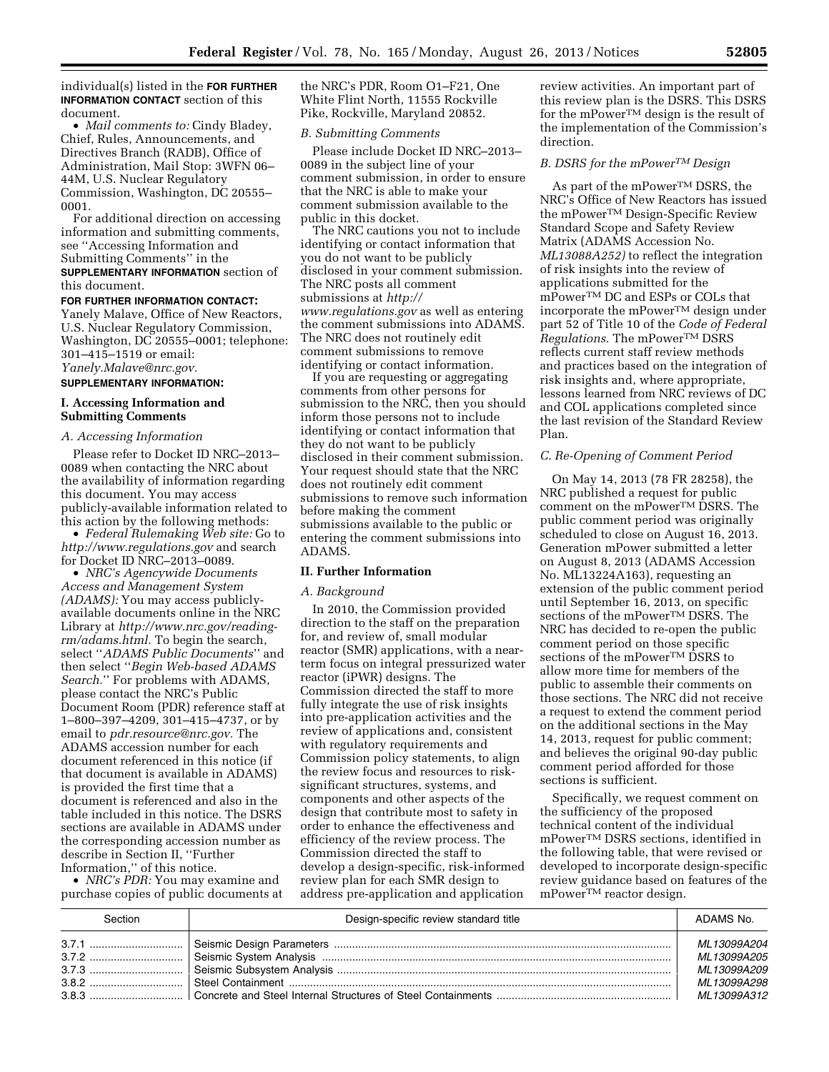individual(s) listed in the **FOR FURTHER INFORMATION CONTACT** section of this document.

• *Mail comments to:* Cindy Bladey, Chief, Rules, Announcements, and Directives Branch (RADB), Office of Administration, Mail Stop: 3WFN 06– 44M, U.S. Nuclear Regulatory Commission, Washington, DC 20555– 0001.

For additional direction on accessing information and submitting comments, see ''Accessing Information and Submitting Comments'' in the **SUPPLEMENTARY INFORMATION** section of this document.

#### **FOR FURTHER INFORMATION CONTACT:**

Yanely Malave, Office of New Reactors, U.S. Nuclear Regulatory Commission, Washington, DC 20555–0001; telephone: 301–415–1519 or email: *[Yanely.Malave@nrc.gov.](mailto:Yanely.Malave@nrc.gov)* 

### **SUPPLEMENTARY INFORMATION:**

### **I. Accessing Information and Submitting Comments**

### *A. Accessing Information*

Please refer to Docket ID NRC–2013– 0089 when contacting the NRC about the availability of information regarding this document. You may access publicly-available information related to this action by the following methods:

• *Federal Rulemaking Web site:* Go to *<http://www.regulations.gov>* and search for Docket ID NRC–2013–0089.

• *NRC's Agencywide Documents Access and Management System (ADAMS):* You may access publiclyavailable documents online in the NRC Library at *[http://www.nrc.gov/reading](http://www.nrc.gov/reading-rm/adams.html)[rm/adams.html.](http://www.nrc.gov/reading-rm/adams.html)* To begin the search, select ''*ADAMS Public Documents*'' and then select ''*Begin Web-based ADAMS Search.*'' For problems with ADAMS, please contact the NRC's Public Document Room (PDR) reference staff at 1–800–397–4209, 301–415–4737, or by email to *[pdr.resource@nrc.gov.](mailto:pdr.resource@nrc.gov)* The ADAMS accession number for each document referenced in this notice (if that document is available in ADAMS) is provided the first time that a document is referenced and also in the table included in this notice. The DSRS sections are available in ADAMS under the corresponding accession number as describe in Section II, ''Further Information,'' of this notice.

• *NRC's PDR:* You may examine and purchase copies of public documents at the NRC's PDR, Room O1–F21, One White Flint North, 11555 Rockville Pike, Rockville, Maryland 20852.

#### *B. Submitting Comments*

Please include Docket ID NRC–2013– 0089 in the subject line of your comment submission, in order to ensure that the NRC is able to make your comment submission available to the public in this docket.

The NRC cautions you not to include identifying or contact information that you do not want to be publicly disclosed in your comment submission. The NRC posts all comment submissions at *[http://](http://www.regulations.gov) [www.regulations.gov](http://www.regulations.gov)* as well as entering the comment submissions into ADAMS. The NRC does not routinely edit comment submissions to remove identifying or contact information.

If you are requesting or aggregating comments from other persons for submission to the NRC, then you should inform those persons not to include identifying or contact information that they do not want to be publicly disclosed in their comment submission. Your request should state that the NRC does not routinely edit comment submissions to remove such information before making the comment submissions available to the public or entering the comment submissions into ADAMS.

# **II. Further Information**

#### *A. Background*

In 2010, the Commission provided direction to the staff on the preparation for, and review of, small modular reactor (SMR) applications, with a nearterm focus on integral pressurized water reactor (iPWR) designs. The Commission directed the staff to more fully integrate the use of risk insights into pre-application activities and the review of applications and, consistent with regulatory requirements and Commission policy statements, to align the review focus and resources to risksignificant structures, systems, and components and other aspects of the design that contribute most to safety in order to enhance the effectiveness and efficiency of the review process. The Commission directed the staff to develop a design-specific, risk-informed review plan for each SMR design to address pre-application and application

review activities. An important part of this review plan is the DSRS. This DSRS for the mPowerTM design is the result of the implementation of the Commission's direction.

#### *B. DSRS for the mPowerTM Design*

As part of the mPowerTM DSRS, the NRC's Office of New Reactors has issued the mPowerTM Design-Specific Review Standard Scope and Safety Review Matrix (ADAMS Accession No. *ML13088A252)* to reflect the integration of risk insights into the review of applications submitted for the mPowerTM DC and ESPs or COLs that incorporate the mPowerTM design under part 52 of Title 10 of the *Code of Federal Regulations.* The mPowerTM DSRS reflects current staff review methods and practices based on the integration of risk insights and, where appropriate, lessons learned from NRC reviews of DC and COL applications completed since the last revision of the Standard Review Plan.

#### *C. Re-Opening of Comment Period*

On May 14, 2013 (78 FR 28258), the NRC published a request for public comment on the mPowerTM DSRS. The public comment period was originally scheduled to close on August 16, 2013. Generation mPower submitted a letter on August 8, 2013 (ADAMS Accession No. ML13224A163), requesting an extension of the public comment period until September 16, 2013, on specific sections of the mPower<sup>TM</sup> DSRS. The NRC has decided to re-open the public comment period on those specific sections of the mPower™ DSRS to allow more time for members of the public to assemble their comments on those sections. The NRC did not receive a request to extend the comment period on the additional sections in the May 14, 2013, request for public comment; and believes the original 90-day public comment period afforded for those sections is sufficient.

Specifically, we request comment on the sufficiency of the proposed technical content of the individual mPowerTM DSRS sections, identified in the following table, that were revised or developed to incorporate design-specific review guidance based on features of the mPowerTM reactor design.

| Section | Design-specific review standard title | ADAMS No.                                                 |
|---------|---------------------------------------|-----------------------------------------------------------|
|         |                                       | MI 13099A204<br>ML13099A205<br>ML13099A209<br>ML13099A298 |
|         |                                       | ML13099A312                                               |